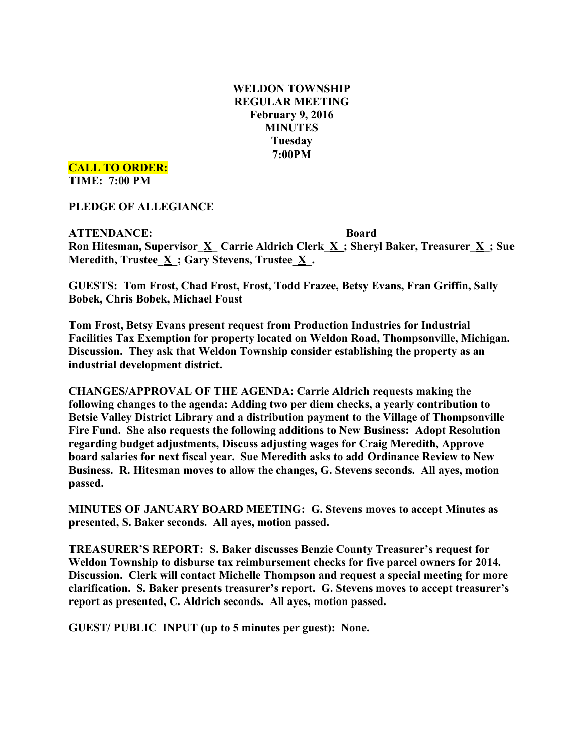## **WELDON TOWNSHIP REGULAR MEETING February 9, 2016 MINUTES Tuesday 7:00PM**

**CALL TO ORDER:**

**TIME: 7:00 PM**

**PLEDGE OF ALLEGIANCE**

**ATTENDANCE: Board Ron Hitesman, Supervisor\_X\_ Carrie Aldrich Clerk\_X\_; Sheryl Baker, Treasurer\_X\_; Sue Meredith, Trustee\_X\_; Gary Stevens, Trustee\_X\_.**

**GUESTS: Tom Frost, Chad Frost, Frost, Todd Frazee, Betsy Evans, Fran Griffin, Sally Bobek, Chris Bobek, Michael Foust**

**Tom Frost, Betsy Evans present request from Production Industries for Industrial Facilities Tax Exemption for property located on Weldon Road, Thompsonville, Michigan. Discussion. They ask that Weldon Township consider establishing the property as an industrial development district.**

**CHANGES/APPROVAL OF THE AGENDA: Carrie Aldrich requests making the following changes to the agenda: Adding two per diem checks, a yearly contribution to Betsie Valley District Library and a distribution payment to the Village of Thompsonville Fire Fund. She also requests the following additions to New Business: Adopt Resolution regarding budget adjustments, Discuss adjusting wages for Craig Meredith, Approve board salaries for next fiscal year. Sue Meredith asks to add Ordinance Review to New Business. R. Hitesman moves to allow the changes, G. Stevens seconds. All ayes, motion passed.**

**MINUTES OF JANUARY BOARD MEETING: G. Stevens moves to accept Minutes as presented, S. Baker seconds. All ayes, motion passed.**

**TREASURER'S REPORT: S. Baker discusses Benzie County Treasurer's request for Weldon Township to disburse tax reimbursement checks for five parcel owners for 2014. Discussion. Clerk will contact Michelle Thompson and request a special meeting for more clarification. S. Baker presents treasurer's report. G. Stevens moves to accept treasurer's report as presented, C. Aldrich seconds. All ayes, motion passed.**

**GUEST/ PUBLIC INPUT (up to 5 minutes per guest): None.**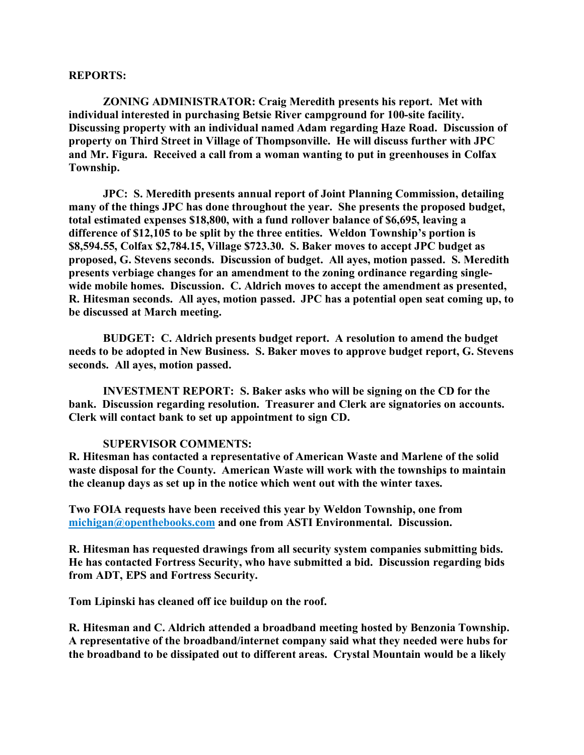#### **REPORTS:**

**ZONING ADMINISTRATOR: Craig Meredith presents his report. Met with individual interested in purchasing Betsie River campground for 100-site facility. Discussing property with an individual named Adam regarding Haze Road. Discussion of property on Third Street in Village of Thompsonville. He will discuss further with JPC and Mr. Figura. Received a call from a woman wanting to put in greenhouses in Colfax Township.**

**JPC: S. Meredith presents annual report of Joint Planning Commission, detailing many of the things JPC has done throughout the year. She presents the proposed budget, total estimated expenses \$18,800, with a fund rollover balance of \$6,695, leaving a difference of \$12,105 to be split by the three entities. Weldon Township's portion is \$8,594.55, Colfax \$2,784.15, Village \$723.30. S. Baker moves to accept JPC budget as proposed, G. Stevens seconds. Discussion of budget. All ayes, motion passed. S. Meredith presents verbiage changes for an amendment to the zoning ordinance regarding singlewide mobile homes. Discussion. C. Aldrich moves to accept the amendment as presented, R. Hitesman seconds. All ayes, motion passed. JPC has a potential open seat coming up, to be discussed at March meeting.**

**BUDGET: C. Aldrich presents budget report. A resolution to amend the budget needs to be adopted in New Business. S. Baker moves to approve budget report, G. Stevens seconds. All ayes, motion passed.**

**INVESTMENT REPORT: S. Baker asks who will be signing on the CD for the bank. Discussion regarding resolution. Treasurer and Clerk are signatories on accounts. Clerk will contact bank to set up appointment to sign CD.**

### **SUPERVISOR COMMENTS:**

**R. Hitesman has contacted a representative of American Waste and Marlene of the solid waste disposal for the County. American Waste will work with the townships to maintain the cleanup days as set up in the notice which went out with the winter taxes.**

**Two FOIA requests have been received this year by Weldon Township, one from michigan@openthebooks.com and one from ASTI Environmental. Discussion.**

**R. Hitesman has requested drawings from all security system companies submitting bids. He has contacted Fortress Security, who have submitted a bid. Discussion regarding bids from ADT, EPS and Fortress Security.**

**Tom Lipinski has cleaned off ice buildup on the roof.**

**R. Hitesman and C. Aldrich attended a broadband meeting hosted by Benzonia Township. A representative of the broadband/internet company said what they needed were hubs for the broadband to be dissipated out to different areas. Crystal Mountain would be a likely**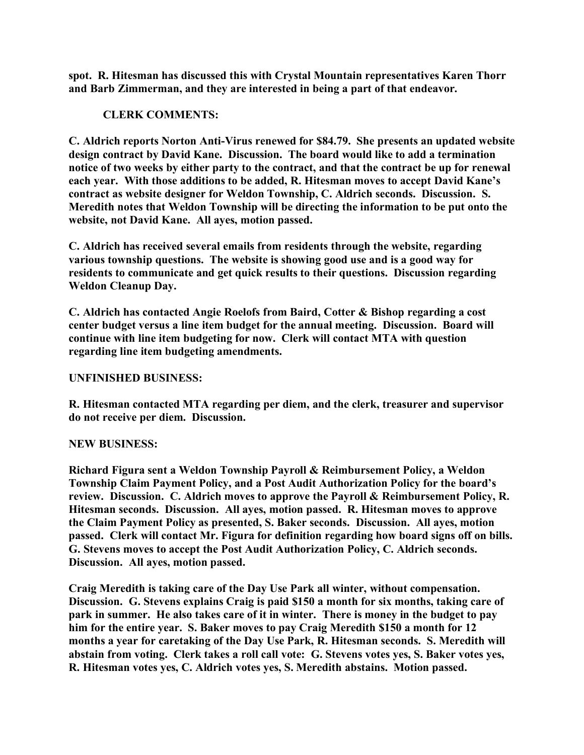**spot. R. Hitesman has discussed this with Crystal Mountain representatives Karen Thorr and Barb Zimmerman, and they are interested in being a part of that endeavor.**

# **CLERK COMMENTS:**

**C. Aldrich reports Norton Anti-Virus renewed for \$84.79. She presents an updated website design contract by David Kane. Discussion. The board would like to add a termination notice of two weeks by either party to the contract, and that the contract be up for renewal each year. With those additions to be added, R. Hitesman moves to accept David Kane's contract as website designer for Weldon Township, C. Aldrich seconds. Discussion. S. Meredith notes that Weldon Township will be directing the information to be put onto the website, not David Kane. All ayes, motion passed.**

**C. Aldrich has received several emails from residents through the website, regarding various township questions. The website is showing good use and is a good way for residents to communicate and get quick results to their questions. Discussion regarding Weldon Cleanup Day.**

**C. Aldrich has contacted Angie Roelofs from Baird, Cotter & Bishop regarding a cost center budget versus a line item budget for the annual meeting. Discussion. Board will continue with line item budgeting for now. Clerk will contact MTA with question regarding line item budgeting amendments.**

### **UNFINISHED BUSINESS:**

**R. Hitesman contacted MTA regarding per diem, and the clerk, treasurer and supervisor do not receive per diem. Discussion.**

### **NEW BUSINESS:**

**Richard Figura sent a Weldon Township Payroll & Reimbursement Policy, a Weldon Township Claim Payment Policy, and a Post Audit Authorization Policy for the board's review. Discussion. C. Aldrich moves to approve the Payroll & Reimbursement Policy, R. Hitesman seconds. Discussion. All ayes, motion passed. R. Hitesman moves to approve the Claim Payment Policy as presented, S. Baker seconds. Discussion. All ayes, motion passed. Clerk will contact Mr. Figura for definition regarding how board signs off on bills. G. Stevens moves to accept the Post Audit Authorization Policy, C. Aldrich seconds. Discussion. All ayes, motion passed.**

**Craig Meredith is taking care of the Day Use Park all winter, without compensation. Discussion. G. Stevens explains Craig is paid \$150 a month for six months, taking care of park in summer. He also takes care of it in winter. There is money in the budget to pay him for the entire year. S. Baker moves to pay Craig Meredith \$150 a month for 12 months a year for caretaking of the Day Use Park, R. Hitesman seconds. S. Meredith will abstain from voting. Clerk takes a roll call vote: G. Stevens votes yes, S. Baker votes yes, R. Hitesman votes yes, C. Aldrich votes yes, S. Meredith abstains. Motion passed.**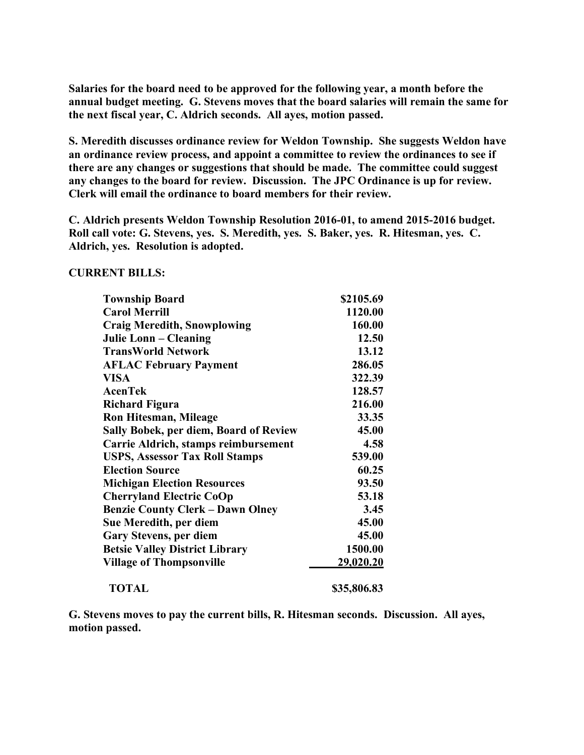**Salaries for the board need to be approved for the following year, a month before the annual budget meeting. G. Stevens moves that the board salaries will remain the same for the next fiscal year, C. Aldrich seconds. All ayes, motion passed.**

**S. Meredith discusses ordinance review for Weldon Township. She suggests Weldon have an ordinance review process, and appoint a committee to review the ordinances to see if there are any changes or suggestions that should be made. The committee could suggest any changes to the board for review. Discussion. The JPC Ordinance is up for review. Clerk will email the ordinance to board members for their review.**

**C. Aldrich presents Weldon Township Resolution 2016-01, to amend 2015-2016 budget. Roll call vote: G. Stevens, yes. S. Meredith, yes. S. Baker, yes. R. Hitesman, yes. C. Aldrich, yes. Resolution is adopted.**

#### **CURRENT BILLS:**

| <b>Township Board</b>                   | \$2105.69   |
|-----------------------------------------|-------------|
| <b>Carol Merrill</b>                    | 1120.00     |
| <b>Craig Meredith, Snowplowing</b>      | 160.00      |
| Julie Lonn – Cleaning                   | 12.50       |
| <b>TransWorld Network</b>               | 13.12       |
| <b>AFLAC February Payment</b>           | 286.05      |
| VISA                                    | 322.39      |
| <b>AcenTek</b>                          | 128.57      |
| <b>Richard Figura</b>                   | 216.00      |
| <b>Ron Hitesman, Mileage</b>            | 33.35       |
| Sally Bobek, per diem, Board of Review  | 45.00       |
| Carrie Aldrich, stamps reimbursement    | 4.58        |
| <b>USPS, Assessor Tax Roll Stamps</b>   | 539.00      |
| <b>Election Source</b>                  | 60.25       |
| <b>Michigan Election Resources</b>      | 93.50       |
| <b>Cherryland Electric CoOp</b>         | 53.18       |
| <b>Benzie County Clerk – Dawn Olney</b> | 3.45        |
| Sue Meredith, per diem                  | 45.00       |
| <b>Gary Stevens, per diem</b>           | 45.00       |
| <b>Betsie Valley District Library</b>   | 1500.00     |
| <b>Village of Thompsonville</b>         | 29,020.20   |
| <b>TOTAL</b>                            | \$35,806.83 |

**G. Stevens moves to pay the current bills, R. Hitesman seconds. Discussion. All ayes, motion passed.**